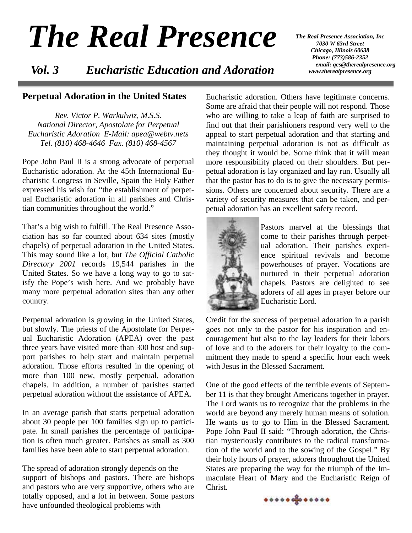# *The Real Presence*

 *Vol. 3 Eucharistic Education and Adoration*

*The Real Presence Association, Inc 7030 W 63rd Street Chicago, Illinois 60638 Phone: (773)586-2352 email: qcs@therealpresence.org www.therealpresence.org* 

#### **Perpetual Adoration in the United States**

*Rev. Victor P. Warkulwiz, M.S.S. National Director, Apostolate for Perpetual Eucharistic Adoration E-Mail: apea@webtv.nets Tel. (810) 468-4646 Fax. (810) 468-4567* 

Pope John Paul II is a strong advocate of perpetual Eucharistic adoration. At the 45th International Eucharistic Congress in Seville, Spain the Holy Father expressed his wish for "the establishment of perpetual Eucharistic adoration in all parishes and Christian communities throughout the world."

That's a big wish to fulfill. The Real Presence Association has so far counted about 634 sites (mostly chapels) of perpetual adoration in the United States. This may sound like a lot, but *The Official Catholic Directory 2001* records 19,544 parishes in the United States. So we have a long way to go to satisfy the Pope's wish here. And we probably have many more perpetual adoration sites than any other country.

Perpetual adoration is growing in the United States, but slowly. The priests of the Apostolate for Perpetual Eucharistic Adoration (APEA) over the past three years have visited more than 300 host and support parishes to help start and maintain perpetual adoration. Those efforts resulted in the opening of more than 100 new, mostly perpetual, adoration chapels. In addition, a number of parishes started perpetual adoration without the assistance of APEA.

In an average parish that starts perpetual adoration about 30 people per 100 families sign up to participate. In small parishes the percentage of participation is often much greater. Parishes as small as 300 families have been able to start perpetual adoration.

The spread of adoration strongly depends on the support of bishops and pastors. There are bishops and pastors who are very supportive, others who are totally opposed, and a lot in between. Some pastors have unfounded theological problems with

Eucharistic adoration. Others have legitimate concerns. Some are afraid that their people will not respond. Those who are willing to take a leap of faith are surprised to find out that their parishioners respond very well to the appeal to start perpetual adoration and that starting and maintaining perpetual adoration is not as difficult as they thought it would be. Some think that it will mean more responsibility placed on their shoulders. But perpetual adoration is lay organized and lay run. Usually all that the pastor has to do is to give the necessary permissions. Others are concerned about security. There are a variety of security measures that can be taken, and perpetual adoration has an excellent safety record.



Pastors marvel at the blessings that come to their parishes through perpetual adoration. Their parishes experience spiritual revivals and become powerhouses of prayer. Vocations are nurtured in their perpetual adoration chapels. Pastors are delighted to see adorers of all ages in prayer before our Eucharistic Lord.

Credit for the success of perpetual adoration in a parish goes not only to the pastor for his inspiration and encouragement but also to the lay leaders for their labors of love and to the adorers for their loyalty to the commitment they made to spend a specific hour each week with Jesus in the Blessed Sacrament.

One of the good effects of the terrible events of September 11 is that they brought Americans together in prayer. The Lord wants us to recognize that the problems in the world are beyond any merely human means of solution. He wants us to go to Him in the Blessed Sacrament. Pope John Paul II said: "Through adoration, the Christian mysteriously contributes to the radical transformation of the world and to the sowing of the Gospel." By their holy hours of prayer, adorers throughout the United States are preparing the way for the triumph of the Immaculate Heart of Mary and the Eucharistic Reign of Christ.